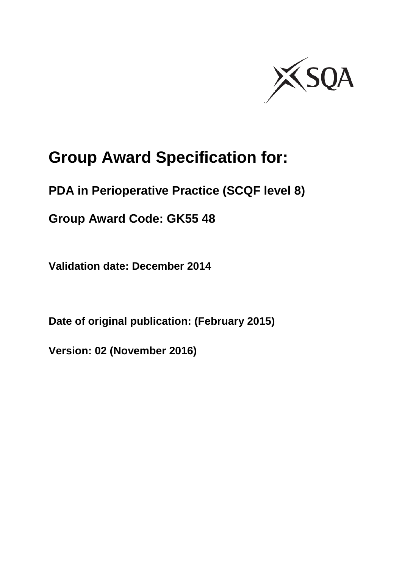

# **Group Award Specification for:**

**PDA in Perioperative Practice (SCQF level 8)**

**Group Award Code: GK55 48**

**Validation date: December 2014** 

**Date of original publication: (February 2015)** 

**Version: 02 (November 2016)**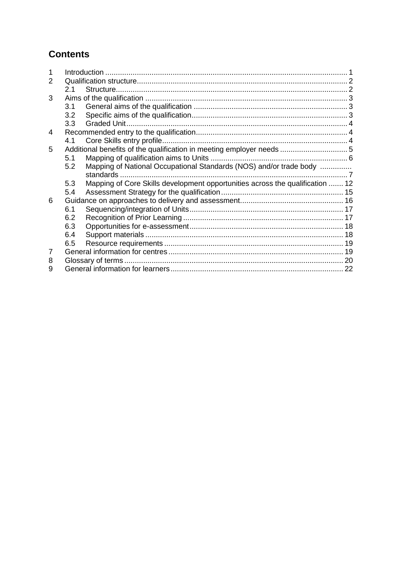## **Contents**

| 2 |     |                                                                               |  |
|---|-----|-------------------------------------------------------------------------------|--|
|   | 2.1 |                                                                               |  |
| 3 |     |                                                                               |  |
|   | 3.1 |                                                                               |  |
|   | 3.2 |                                                                               |  |
|   | 3.3 |                                                                               |  |
| 4 |     |                                                                               |  |
|   | 4.1 |                                                                               |  |
| 5 |     |                                                                               |  |
|   | 5.1 |                                                                               |  |
|   | 5.2 | Mapping of National Occupational Standards (NOS) and/or trade body            |  |
|   |     |                                                                               |  |
|   | 5.3 | Mapping of Core Skills development opportunities across the qualification  12 |  |
|   | 5.4 |                                                                               |  |
| 6 |     |                                                                               |  |
|   | 6.1 |                                                                               |  |
|   | 6.2 |                                                                               |  |
|   | 6.3 |                                                                               |  |
|   | 6.4 |                                                                               |  |
|   | 6.5 |                                                                               |  |
| 7 |     |                                                                               |  |
| 8 |     |                                                                               |  |
| 9 |     |                                                                               |  |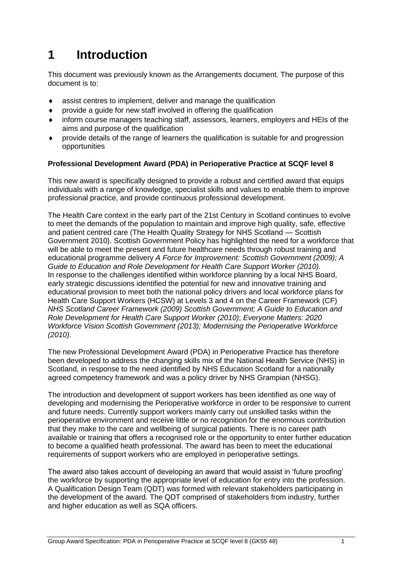# <span id="page-2-0"></span>**1 Introduction**

This document was previously known as the Arrangements document. The purpose of this document is to:

- assist centres to implement, deliver and manage the qualification
- provide a guide for new staff involved in offering the qualification
- inform course managers teaching staff, assessors, learners, employers and HEIs of the aims and purpose of the qualification
- provide details of the range of learners the qualification is suitable for and progression opportunities

#### **Professional Development Award (PDA) in Perioperative Practice at SCQF level 8**

This new award is specifically designed to provide a robust and certified award that equips individuals with a range of knowledge, specialist skills and values to enable them to improve professional practice, and provide continuous professional development.

The Health Care context in the early part of the 21st Century in Scotland continues to evolve to meet the demands of the population to maintain and improve high quality, safe, effective and patient centred care (The Health Quality Strategy for NHS Scotland — Scottish Government 2010). Scottish Government Policy has highlighted the need for a workforce that will be able to meet the present and future healthcare needs through robust training and educational programme delivery *A Force for Improvement: Scottish Government (2009); A Guide to Education and Role Development for Health Care Support Worker (2010).*  In response to the challenges identified within workforce planning by a local NHS Board, early strategic discussions identified the potential for new and innovative training and educational provision to meet both the national policy drivers and local workforce plans for Health Care Support Workers (HCSW) at Levels 3 and 4 on the Career Framework (CF) *NHS Scotland Career Framework (2009) Scottish Government; A Guide to Education and Role Development for Health Care Support Worker (2010)*; *Everyone Matters: 2020 Workforce Vision Scottish Government (2013); Modernising the Perioperative Workforce (2010).*

The new Professional Development Award (PDA) in Perioperative Practice has therefore been developed to address the changing skills mix of the National Health Service (NHS) in Scotland, in response to the need identified by NHS Education Scotland for a nationally agreed competency framework and was a policy driver by NHS Grampian (NHSG).

The introduction and development of support workers has been identified as one way of developing and modernising the Perioperative workforce in order to be responsive to current and future needs. Currently support workers mainly carry out unskilled tasks within the perioperative environment and receive little or no recognition for the enormous contribution that they make to the care and wellbeing of surgical patients. There is no career path available or training that offers a recognised role or the opportunity to enter further education to become a qualified heath professional. The award has been to meet the educational requirements of support workers who are employed in perioperative settings.

The award also takes account of developing an award that would assist in 'future proofing' the workforce by supporting the appropriate level of education for entry into the profession. A Qualification Design Team (QDT) was formed with relevant stakeholders participating in the development of the award. The QDT comprised of stakeholders from industry, further and higher education as well as SQA officers.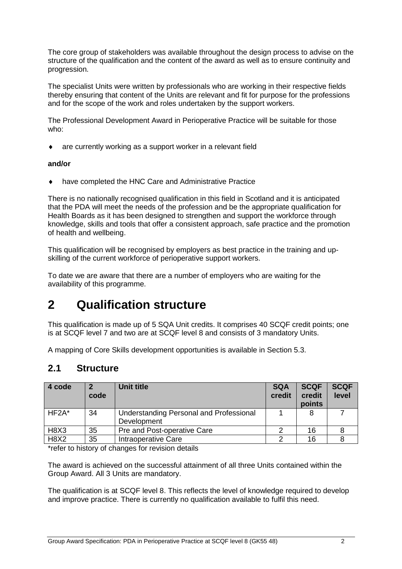The core group of stakeholders was available throughout the design process to advise on the structure of the qualification and the content of the award as well as to ensure continuity and progression.

The specialist Units were written by professionals who are working in their respective fields thereby ensuring that content of the Units are relevant and fit for purpose for the professions and for the scope of the work and roles undertaken by the support workers.

The Professional Development Award in Perioperative Practice will be suitable for those who:

are currently working as a support worker in a relevant field

#### **and/or**

have completed the HNC Care and Administrative Practice

There is no nationally recognised qualification in this field in Scotland and it is anticipated that the PDA will meet the needs of the profession and be the appropriate qualification for Health Boards as it has been designed to strengthen and support the workforce through knowledge, skills and tools that offer a consistent approach, safe practice and the promotion of health and wellbeing.

This qualification will be recognised by employers as best practice in the training and upskilling of the current workforce of perioperative support workers.

To date we are aware that there are a number of employers who are waiting for the availability of this programme.

# <span id="page-3-0"></span>**2 Qualification structure**

This qualification is made up of 5 SQA Unit credits. It comprises 40 SCQF credit points; one is at SCQF level 7 and two are at SCQF level 8 and consists of 3 mandatory Units.

A mapping of Core Skills development opportunities is available in Section 5.3.

#### <span id="page-3-1"></span>**2.1 Structure**

| 4 code      | כי<br>code | Unit title                                             | <b>SQA</b><br>credit | <b>SCQF</b><br>credit<br>points | <b>SCQF</b><br>level |
|-------------|------------|--------------------------------------------------------|----------------------|---------------------------------|----------------------|
| $HF2A^*$    | 34         | Understanding Personal and Professional<br>Development |                      | 8                               |                      |
| <b>H8X3</b> | 35         | Pre and Post-operative Care                            |                      | 16                              |                      |
| <b>H8X2</b> | 35         | Intraoperative Care                                    |                      | 16                              |                      |

\*refer to history of changes for revision details

The award is achieved on the successful attainment of all three Units contained within the Group Award. All 3 Units are mandatory.

The qualification is at SCQF level 8. This reflects the level of knowledge required to develop and improve practice. There is currently no qualification available to fulfil this need.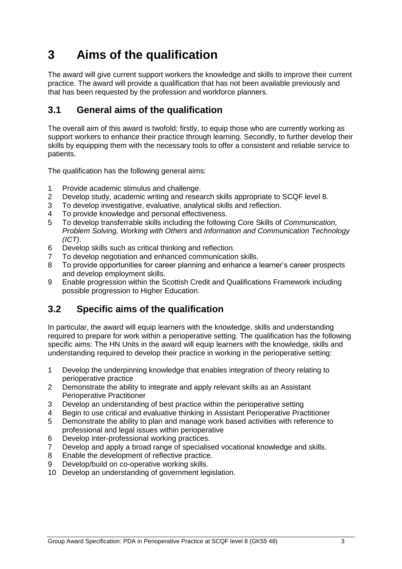# <span id="page-4-0"></span>**3 Aims of the qualification**

The award will give current support workers the knowledge and skills to improve their current practice. The award will provide a qualification that has not been available previously and that has been requested by the profession and workforce planners.

### <span id="page-4-1"></span>**3.1 General aims of the qualification**

The overall aim of this award is twofold; firstly, to equip those who are currently working as support workers to enhance their practice through learning. Secondly, to further develop their skills by equipping them with the necessary tools to offer a consistent and reliable service to patients.

The qualification has the following general aims:

- 1 Provide academic stimulus and challenge.<br>2 Develop study, academic writing and resea
- 2 Develop study, academic writing and research skills appropriate to SCQF level 8.<br>3 To develop investigative, evaluative, analytical skills and reflection.
- 3 To develop investigative, evaluative, analytical skills and reflection.
- 4 To provide knowledge and personal effectiveness.
- 5 To develop transferrable skills including the following Core Skills of *Communication, Problem Solving, Working with Others* and *Information and Communication Technology (ICT)*.
- 6 Develop skills such as critical thinking and reflection.
- 7 To develop negotiation and enhanced communication skills.
- 8 To provide opportunities for career planning and enhance a learner's career prospects and develop employment skills.
- 9 Enable progression within the Scottish Credit and Qualifications Framework including possible progression to Higher Education.

### <span id="page-4-2"></span>**3.2 Specific aims of the qualification**

In particular, the award will equip learners with the knowledge, skills and understanding required to prepare for work within a perioperative setting. The qualification has the following specific aims: The HN Units in the award will equip learners with the knowledge, skills and understanding required to develop their practice in working in the perioperative setting:

- 1 Develop the underpinning knowledge that enables integration of theory relating to perioperative practice
- 2 Demonstrate the ability to integrate and apply relevant skills as an Assistant Perioperative Practitioner
- 3 Develop an understanding of best practice within the perioperative setting
- 4 Begin to use critical and evaluative thinking in Assistant Perioperative Practitioner
- 5 Demonstrate the ability to plan and manage work based activities with reference to professional and legal issues within perioperative
- 6 Develop inter-professional working practices.
- 7 Develop and apply a broad range of specialised vocational knowledge and skills.
- 8 Enable the development of reflective practice.
- 9 Develop/build on co-operative working skills.
- 10 Develop an understanding of government legislation.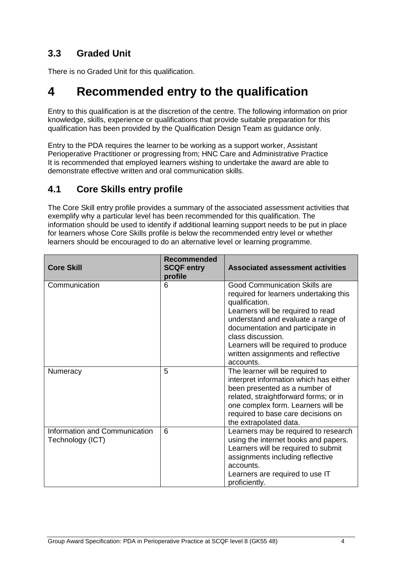## <span id="page-5-0"></span>**3.3 Graded Unit**

There is no Graded Unit for this qualification.

# <span id="page-5-1"></span>**4 Recommended entry to the qualification**

Entry to this qualification is at the discretion of the centre. The following information on prior knowledge, skills, experience or qualifications that provide suitable preparation for this qualification has been provided by the Qualification Design Team as guidance only.

Entry to the PDA requires the learner to be working as a support worker, Assistant Perioperative Practitioner or progressing from; HNC Care and Administrative Practice It is recommended that employed learners wishing to undertake the award are able to demonstrate effective written and oral communication skills.

### <span id="page-5-2"></span>**4.1 Core Skills entry profile**

The Core Skill entry profile provides a summary of the associated assessment activities that exemplify why a particular level has been recommended for this qualification. The information should be used to identify if additional learning support needs to be put in place for learners whose Core Skills profile is below the recommended entry level or whether learners should be encouraged to do an alternative level or learning programme.

| <b>Core Skill</b>                                 | <b>Recommended</b><br><b>SCQF entry</b><br>profile | <b>Associated assessment activities</b>                                                                                                                                                                                                                                                                                         |
|---------------------------------------------------|----------------------------------------------------|---------------------------------------------------------------------------------------------------------------------------------------------------------------------------------------------------------------------------------------------------------------------------------------------------------------------------------|
| Communication                                     | 6                                                  | <b>Good Communication Skills are</b><br>required for learners undertaking this<br>qualification.<br>Learners will be required to read<br>understand and evaluate a range of<br>documentation and participate in<br>class discussion.<br>Learners will be required to produce<br>written assignments and reflective<br>accounts. |
| Numeracy                                          | 5                                                  | The learner will be required to<br>interpret information which has either<br>been presented as a number of<br>related, straightforward forms; or in<br>one complex form. Learners will be<br>required to base care decisions on<br>the extrapolated data.                                                                       |
| Information and Communication<br>Technology (ICT) | 6                                                  | Learners may be required to research<br>using the internet books and papers.<br>Learners will be required to submit<br>assignments including reflective<br>accounts.<br>Learners are required to use IT<br>proficiently.                                                                                                        |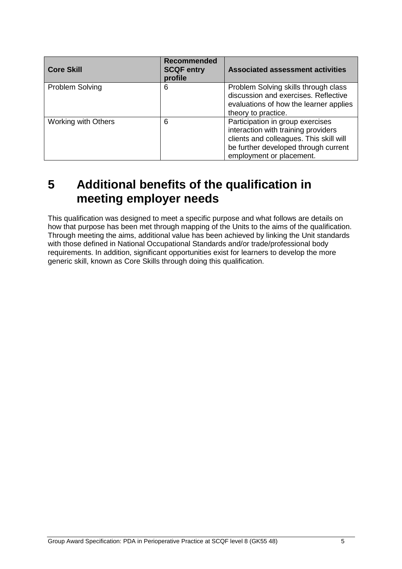| <b>Core Skill</b>          | <b>Recommended</b><br><b>SCQF entry</b><br>profile | <b>Associated assessment activities</b>                                                                                                                                                |
|----------------------------|----------------------------------------------------|----------------------------------------------------------------------------------------------------------------------------------------------------------------------------------------|
| Problem Solving            | 6                                                  | Problem Solving skills through class<br>discussion and exercises. Reflective<br>evaluations of how the learner applies<br>theory to practice.                                          |
| <b>Working with Others</b> | 6                                                  | Participation in group exercises<br>interaction with training providers<br>clients and colleagues. This skill will<br>be further developed through current<br>employment or placement. |

# <span id="page-6-0"></span>**5 Additional benefits of the qualification in meeting employer needs**

This qualification was designed to meet a specific purpose and what follows are details on how that purpose has been met through mapping of the Units to the aims of the qualification. Through meeting the aims, additional value has been achieved by linking the Unit standards with those defined in National Occupational Standards and/or trade/professional body requirements. In addition, significant opportunities exist for learners to develop the more generic skill, known as Core Skills through doing this qualification.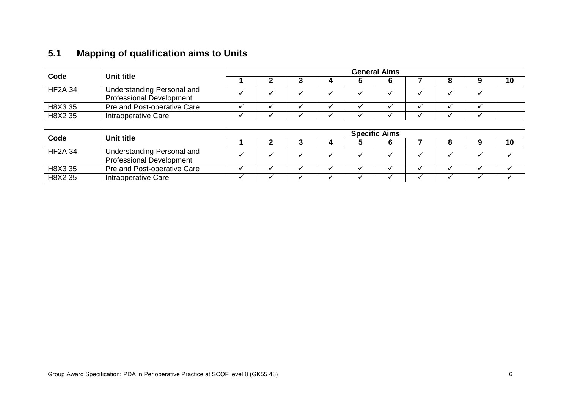# **5.1 Mapping of qualification aims to Units**

| Code           | Unit title                                                    | <b>General Aims</b> |  |  |  |  |  |  |  |  |    |
|----------------|---------------------------------------------------------------|---------------------|--|--|--|--|--|--|--|--|----|
|                |                                                               |                     |  |  |  |  |  |  |  |  | 10 |
| <b>HF2A 34</b> | Understanding Personal and<br><b>Professional Development</b> |                     |  |  |  |  |  |  |  |  |    |
| H8X3 35        | Pre and Post-operative Care                                   |                     |  |  |  |  |  |  |  |  |    |
| H8X2 35        | Intraoperative Care                                           |                     |  |  |  |  |  |  |  |  |    |

<span id="page-7-0"></span>

| Code           | Unit title                                                    | <b>Specific Aims</b> |  |  |  |  |  |  |  |  |    |
|----------------|---------------------------------------------------------------|----------------------|--|--|--|--|--|--|--|--|----|
|                |                                                               |                      |  |  |  |  |  |  |  |  | 10 |
| <b>HF2A 34</b> | Understanding Personal and<br><b>Professional Development</b> |                      |  |  |  |  |  |  |  |  |    |
| H8X3 35        | Pre and Post-operative Care                                   |                      |  |  |  |  |  |  |  |  |    |
| H8X2 35        | Intraoperative Care                                           |                      |  |  |  |  |  |  |  |  |    |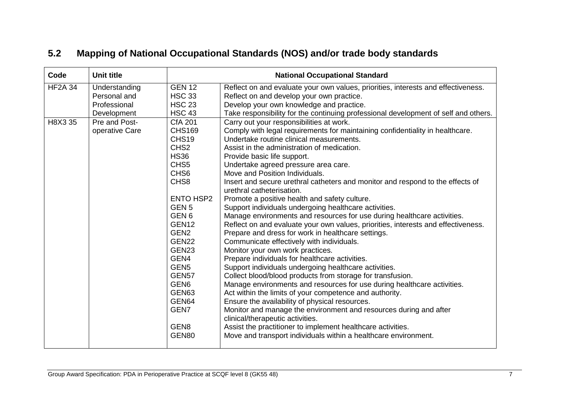<span id="page-8-0"></span>

| Code           | <b>Unit title</b> |                   | <b>National Occupational Standard</b>                                                                       |  |  |  |  |  |  |
|----------------|-------------------|-------------------|-------------------------------------------------------------------------------------------------------------|--|--|--|--|--|--|
| <b>HF2A 34</b> | Understanding     | <b>GEN 12</b>     | Reflect on and evaluate your own values, priorities, interests and effectiveness.                           |  |  |  |  |  |  |
|                | Personal and      | <b>HSC 33</b>     | Reflect on and develop your own practice.                                                                   |  |  |  |  |  |  |
|                | Professional      | <b>HSC 23</b>     | Develop your own knowledge and practice.                                                                    |  |  |  |  |  |  |
|                | Development       | <b>HSC 43</b>     | Take responsibility for the continuing professional development of self and others.                         |  |  |  |  |  |  |
| H8X3 35        | Pre and Post-     | <b>CfA 201</b>    | Carry out your responsibilities at work.                                                                    |  |  |  |  |  |  |
|                | operative Care    | <b>CHS169</b>     | Comply with legal requirements for maintaining confidentiality in healthcare.                               |  |  |  |  |  |  |
|                |                   | CHS19             | Undertake routine clinical measurements.                                                                    |  |  |  |  |  |  |
|                |                   | CHS <sub>2</sub>  | Assist in the administration of medication.                                                                 |  |  |  |  |  |  |
|                |                   | <b>HS36</b>       | Provide basic life support.                                                                                 |  |  |  |  |  |  |
|                |                   | CHS <sub>5</sub>  | Undertake agreed pressure area care.                                                                        |  |  |  |  |  |  |
|                |                   | CHS <sub>6</sub>  | Move and Position Individuals.                                                                              |  |  |  |  |  |  |
|                |                   | CHS8              | Insert and secure urethral catheters and monitor and respond to the effects of<br>urethral catheterisation. |  |  |  |  |  |  |
|                |                   | <b>ENTO HSP2</b>  | Promote a positive health and safety culture.                                                               |  |  |  |  |  |  |
|                |                   | GEN <sub>5</sub>  | Support individuals undergoing healthcare activities.                                                       |  |  |  |  |  |  |
|                |                   | GEN <sub>6</sub>  | Manage environments and resources for use during healthcare activities.                                     |  |  |  |  |  |  |
|                |                   | GEN <sub>12</sub> | Reflect on and evaluate your own values, priorities, interests and effectiveness.                           |  |  |  |  |  |  |
|                |                   | GEN <sub>2</sub>  | Prepare and dress for work in healthcare settings.                                                          |  |  |  |  |  |  |
|                |                   | <b>GEN22</b>      | Communicate effectively with individuals.                                                                   |  |  |  |  |  |  |
|                |                   | GEN <sub>23</sub> | Monitor your own work practices.                                                                            |  |  |  |  |  |  |
|                |                   | GEN4              | Prepare individuals for healthcare activities.                                                              |  |  |  |  |  |  |
|                |                   | GEN <sub>5</sub>  | Support individuals undergoing healthcare activities.                                                       |  |  |  |  |  |  |
|                |                   | <b>GEN57</b>      | Collect blood/blood products from storage for transfusion.                                                  |  |  |  |  |  |  |
|                |                   | GEN <sub>6</sub>  | Manage environments and resources for use during healthcare activities.                                     |  |  |  |  |  |  |
|                |                   | GEN63             | Act within the limits of your competence and authority.                                                     |  |  |  |  |  |  |
|                |                   | GEN64             | Ensure the availability of physical resources.                                                              |  |  |  |  |  |  |
|                |                   | GEN7              | Monitor and manage the environment and resources during and after                                           |  |  |  |  |  |  |
|                |                   |                   | clinical/therapeutic activities.                                                                            |  |  |  |  |  |  |
|                |                   | GEN8              | Assist the practitioner to implement healthcare activities.                                                 |  |  |  |  |  |  |
|                |                   | GEN80             | Move and transport individuals within a healthcare environment.                                             |  |  |  |  |  |  |
|                |                   |                   |                                                                                                             |  |  |  |  |  |  |

# **5.2 Mapping of National Occupational Standards (NOS) and/or trade body standards**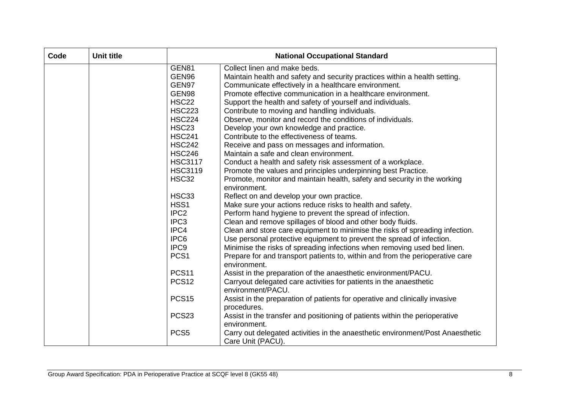| Code | <b>Unit title</b> | <b>National Occupational Standard</b> |                                                                                                                     |  |  |  |  |  |
|------|-------------------|---------------------------------------|---------------------------------------------------------------------------------------------------------------------|--|--|--|--|--|
|      |                   | GEN81                                 | Collect linen and make beds.                                                                                        |  |  |  |  |  |
|      |                   | GEN96                                 | Maintain health and safety and security practices within a health setting.                                          |  |  |  |  |  |
|      |                   | GEN97                                 | Communicate effectively in a healthcare environment.                                                                |  |  |  |  |  |
|      |                   | GEN98                                 | Promote effective communication in a healthcare environment.                                                        |  |  |  |  |  |
|      |                   | <b>HSC22</b>                          | Support the health and safety of yourself and individuals.                                                          |  |  |  |  |  |
|      |                   | <b>HSC223</b>                         | Contribute to moving and handling individuals.                                                                      |  |  |  |  |  |
|      |                   | <b>HSC224</b>                         | Observe, monitor and record the conditions of individuals.                                                          |  |  |  |  |  |
|      |                   | <b>HSC23</b>                          | Develop your own knowledge and practice.                                                                            |  |  |  |  |  |
|      |                   | <b>HSC241</b>                         | Contribute to the effectiveness of teams.                                                                           |  |  |  |  |  |
|      |                   | <b>HSC242</b>                         | Receive and pass on messages and information.                                                                       |  |  |  |  |  |
|      |                   | <b>HSC246</b>                         | Maintain a safe and clean environment.                                                                              |  |  |  |  |  |
|      |                   | <b>HSC3117</b>                        | Conduct a health and safety risk assessment of a workplace.                                                         |  |  |  |  |  |
|      |                   | <b>HSC3119</b>                        | Promote the values and principles underpinning best Practice.                                                       |  |  |  |  |  |
|      |                   | <b>HSC32</b>                          | Promote, monitor and maintain health, safety and security in the working<br>environment.                            |  |  |  |  |  |
|      |                   | <b>HSC33</b>                          | Reflect on and develop your own practice.                                                                           |  |  |  |  |  |
|      |                   | HSS1                                  | Make sure your actions reduce risks to health and safety.                                                           |  |  |  |  |  |
|      |                   | IPC <sub>2</sub>                      | Perform hand hygiene to prevent the spread of infection.                                                            |  |  |  |  |  |
|      |                   | IPC <sub>3</sub>                      | Clean and remove spillages of blood and other body fluids.                                                          |  |  |  |  |  |
|      |                   | IPC4                                  | Clean and store care equipment to minimise the risks of spreading infection.                                        |  |  |  |  |  |
|      |                   | IPC6                                  | Use personal protective equipment to prevent the spread of infection.                                               |  |  |  |  |  |
|      |                   | IPC <sub>9</sub>                      | Minimise the risks of spreading infections when removing used bed linen.                                            |  |  |  |  |  |
|      |                   | PCS <sub>1</sub>                      | Prepare for and transport patients to, within and from the perioperative care<br>environment.                       |  |  |  |  |  |
|      |                   | <b>PCS11</b>                          | Assist in the preparation of the anaesthetic environment/PACU.                                                      |  |  |  |  |  |
|      |                   | <b>PCS12</b>                          | Carryout delegated care activities for patients in the anaesthetic<br>environment/PACU.                             |  |  |  |  |  |
|      |                   | <b>PCS15</b>                          | Assist in the preparation of patients for operative and clinically invasive<br>procedures.                          |  |  |  |  |  |
|      |                   | PCS <sub>23</sub>                     | Assist in the transfer and positioning of patients within the perioperative                                         |  |  |  |  |  |
|      |                   | PCS <sub>5</sub>                      | environment.<br>Carry out delegated activities in the anaesthetic environment/Post Anaesthetic<br>Care Unit (PACU). |  |  |  |  |  |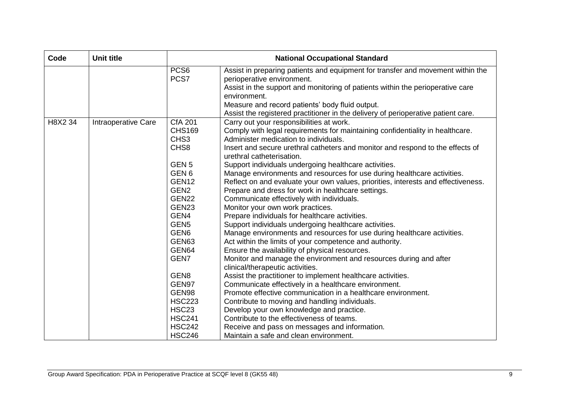| Code    | <b>Unit title</b>   |                          | <b>National Occupational Standard</b>                                                                         |
|---------|---------------------|--------------------------|---------------------------------------------------------------------------------------------------------------|
|         |                     | PCS <sub>6</sub><br>PCS7 | Assist in preparing patients and equipment for transfer and movement within the<br>perioperative environment. |
|         |                     |                          | Assist in the support and monitoring of patients within the perioperative care<br>environment.                |
|         |                     |                          | Measure and record patients' body fluid output.                                                               |
|         |                     |                          | Assist the registered practitioner in the delivery of perioperative patient care.                             |
| H8X2 34 | Intraoperative Care | <b>CfA 201</b>           | Carry out your responsibilities at work.                                                                      |
|         |                     | <b>CHS169</b>            | Comply with legal requirements for maintaining confidentiality in healthcare.                                 |
|         |                     | CHS3                     | Administer medication to individuals.                                                                         |
|         |                     | CHS8                     | Insert and secure urethral catheters and monitor and respond to the effects of<br>urethral catheterisation.   |
|         |                     | GEN <sub>5</sub>         | Support individuals undergoing healthcare activities.                                                         |
|         |                     | GEN <sub>6</sub>         | Manage environments and resources for use during healthcare activities.                                       |
|         |                     | GEN <sub>12</sub>        | Reflect on and evaluate your own values, priorities, interests and effectiveness.                             |
|         |                     | GEN <sub>2</sub>         | Prepare and dress for work in healthcare settings.                                                            |
|         |                     | GEN22                    | Communicate effectively with individuals.                                                                     |
|         |                     | GEN <sub>23</sub>        | Monitor your own work practices.                                                                              |
|         |                     | GEN4                     | Prepare individuals for healthcare activities.                                                                |
|         |                     | GEN <sub>5</sub>         | Support individuals undergoing healthcare activities.                                                         |
|         |                     | GEN <sub>6</sub>         | Manage environments and resources for use during healthcare activities.                                       |
|         |                     | GEN63                    | Act within the limits of your competence and authority.                                                       |
|         |                     | GEN64                    | Ensure the availability of physical resources.                                                                |
|         |                     | GEN7                     | Monitor and manage the environment and resources during and after                                             |
|         |                     |                          | clinical/therapeutic activities.                                                                              |
|         |                     | GEN <sub>8</sub>         | Assist the practitioner to implement healthcare activities.                                                   |
|         |                     | GEN97                    | Communicate effectively in a healthcare environment.                                                          |
|         |                     | GEN98                    | Promote effective communication in a healthcare environment.                                                  |
|         |                     | <b>HSC223</b>            | Contribute to moving and handling individuals.                                                                |
|         |                     | <b>HSC23</b>             | Develop your own knowledge and practice.                                                                      |
|         |                     | <b>HSC241</b>            | Contribute to the effectiveness of teams.                                                                     |
|         |                     | <b>HSC242</b>            | Receive and pass on messages and information.                                                                 |
|         |                     | <b>HSC246</b>            | Maintain a safe and clean environment.                                                                        |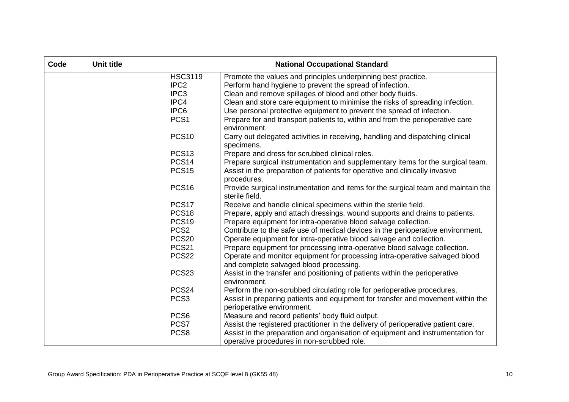| Code | Unit title |                   | <b>National Occupational Standard</b>                                                                                         |
|------|------------|-------------------|-------------------------------------------------------------------------------------------------------------------------------|
|      |            | <b>HSC3119</b>    | Promote the values and principles underpinning best practice.                                                                 |
|      |            | IPC <sub>2</sub>  | Perform hand hygiene to prevent the spread of infection.                                                                      |
|      |            | IPC <sub>3</sub>  | Clean and remove spillages of blood and other body fluids.                                                                    |
|      |            | IPC4              | Clean and store care equipment to minimise the risks of spreading infection.                                                  |
|      |            | IPC6              | Use personal protective equipment to prevent the spread of infection.                                                         |
|      |            | PCS <sub>1</sub>  | Prepare for and transport patients to, within and from the perioperative care<br>environment.                                 |
|      |            | <b>PCS10</b>      | Carry out delegated activities in receiving, handling and dispatching clinical<br>specimens.                                  |
|      |            | <b>PCS13</b>      | Prepare and dress for scrubbed clinical roles.                                                                                |
|      |            | <b>PCS14</b>      | Prepare surgical instrumentation and supplementary items for the surgical team.                                               |
|      |            | <b>PCS15</b>      | Assist in the preparation of patients for operative and clinically invasive<br>procedures.                                    |
|      |            | <b>PCS16</b>      | Provide surgical instrumentation and items for the surgical team and maintain the<br>sterile field.                           |
|      |            | PCS <sub>17</sub> | Receive and handle clinical specimens within the sterile field.                                                               |
|      |            | <b>PCS18</b>      | Prepare, apply and attach dressings, wound supports and drains to patients.                                                   |
|      |            | <b>PCS19</b>      | Prepare equipment for intra-operative blood salvage collection.                                                               |
|      |            | PCS <sub>2</sub>  | Contribute to the safe use of medical devices in the perioperative environment.                                               |
|      |            | <b>PCS20</b>      | Operate equipment for intra-operative blood salvage and collection.                                                           |
|      |            | <b>PCS21</b>      | Prepare equipment for processing intra-operative blood salvage collection.                                                    |
|      |            | <b>PCS22</b>      | Operate and monitor equipment for processing intra-operative salvaged blood<br>and complete salvaged blood processing.        |
|      |            | PCS <sub>23</sub> | Assist in the transfer and positioning of patients within the perioperative<br>environment.                                   |
|      |            | PCS <sub>24</sub> | Perform the non-scrubbed circulating role for perioperative procedures.                                                       |
|      |            | PCS <sub>3</sub>  | Assist in preparing patients and equipment for transfer and movement within the<br>perioperative environment.                 |
|      |            | PCS <sub>6</sub>  | Measure and record patients' body fluid output.                                                                               |
|      |            | PCS7              | Assist the registered practitioner in the delivery of perioperative patient care.                                             |
|      |            | PCS8              | Assist in the preparation and organisation of equipment and instrumentation for<br>operative procedures in non-scrubbed role. |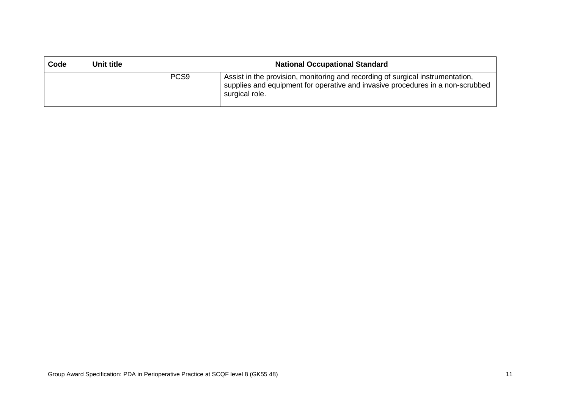| Code | Unit title | <b>National Occupational Standard</b> |                                                                                                                                                                                    |  |  |  |  |  |
|------|------------|---------------------------------------|------------------------------------------------------------------------------------------------------------------------------------------------------------------------------------|--|--|--|--|--|
|      |            | PCS <sub>9</sub>                      | Assist in the provision, monitoring and recording of surgical instrumentation,<br>supplies and equipment for operative and invasive procedures in a non-scrubbed<br>surgical role. |  |  |  |  |  |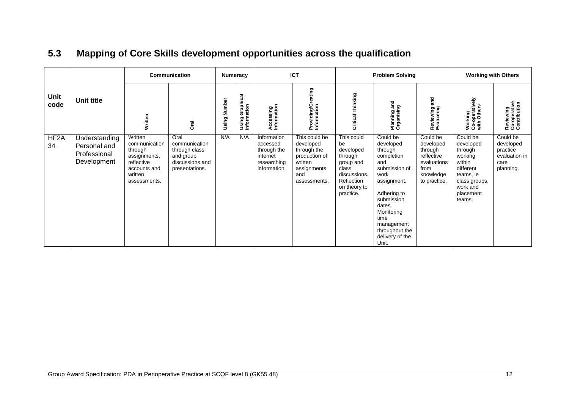<span id="page-13-0"></span>

|                         |                                                              | Communication                                                                                                |                                                                                          | Numeracy     |                                | <b>ICT</b>                                                                        |                                                                                                             | <b>Problem Solving</b>                                                                                                    |                                                                                                                                                                                                                        |                                                                                                    | <b>Working with Others</b>                                                                                                          |                                                                         |
|-------------------------|--------------------------------------------------------------|--------------------------------------------------------------------------------------------------------------|------------------------------------------------------------------------------------------|--------------|--------------------------------|-----------------------------------------------------------------------------------|-------------------------------------------------------------------------------------------------------------|---------------------------------------------------------------------------------------------------------------------------|------------------------------------------------------------------------------------------------------------------------------------------------------------------------------------------------------------------------|----------------------------------------------------------------------------------------------------|-------------------------------------------------------------------------------------------------------------------------------------|-------------------------------------------------------------------------|
| Unit<br>code            | <b>Unit title</b>                                            | Written                                                                                                      | <b>Oral</b>                                                                              | Using Number | Using Graphical<br>Information | Accessing<br>Information                                                          | Providing/Creating<br>Information                                                                           | Thinking<br>Critical                                                                                                      | and<br>Planning an<br>Organising                                                                                                                                                                                       | and<br>Reviewing<br>Evaluating                                                                     | Working<br>Co-operatively<br>with Others                                                                                            | Reviewing<br>Co-operative<br>Contribution                               |
| HF <sub>2</sub> A<br>34 | Understanding<br>Personal and<br>Professional<br>Development | Written<br>communication<br>through<br>assignments,<br>reflective<br>accounts and<br>written<br>assessments. | Oral<br>communication<br>through class<br>and group<br>discussions and<br>presentations. | N/A          | N/A                            | Information<br>accessed<br>through the<br>internet<br>researching<br>information. | This could be<br>developed<br>through the<br>production of<br>written<br>assignments<br>and<br>assessments. | This could<br>be<br>developed<br>through<br>group and<br>class<br>discussions.<br>Reflection<br>on theory to<br>practice. | Could be<br>developed<br>through<br>completion<br>and<br>submission of<br>work<br>assignment.<br>Adhering to<br>submission<br>dates.<br>Monitoring<br>time<br>management<br>throughout the<br>delivery of the<br>Unit. | Could be<br>developed<br>through<br>reflective<br>evaluations<br>from<br>knowledge<br>to practice. | Could be<br>developed<br>through<br>working<br>within<br>different<br>teams, ie<br>class groups,<br>work and<br>placement<br>teams. | Could be<br>developed<br>practice<br>evaluation in<br>care<br>planning. |

# **5.3 Mapping of Core Skills development opportunities across the qualification**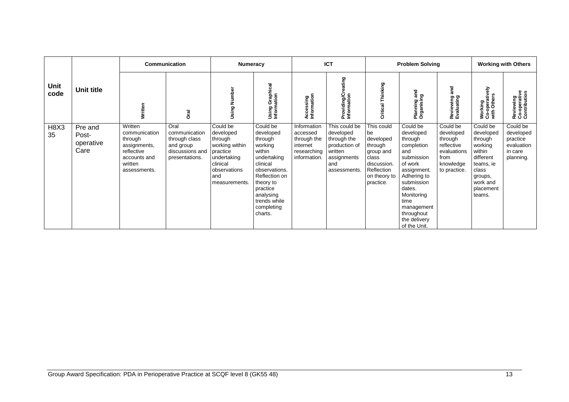|              | Unit title                            | Communication                                                                                                |                                                                                          | <b>Numeracy</b>                                                                                                                   |                                                                                                                                                                                                   | <b>ICT</b>                                                                        |                                                                                                             | <b>Problem Solving</b>                                                                                                   |                                                                                                                                                                                                                        |                                                                                                    | <b>Working with Others</b>                                                                                                             |                                                                         |
|--------------|---------------------------------------|--------------------------------------------------------------------------------------------------------------|------------------------------------------------------------------------------------------|-----------------------------------------------------------------------------------------------------------------------------------|---------------------------------------------------------------------------------------------------------------------------------------------------------------------------------------------------|-----------------------------------------------------------------------------------|-------------------------------------------------------------------------------------------------------------|--------------------------------------------------------------------------------------------------------------------------|------------------------------------------------------------------------------------------------------------------------------------------------------------------------------------------------------------------------|----------------------------------------------------------------------------------------------------|----------------------------------------------------------------------------------------------------------------------------------------|-------------------------------------------------------------------------|
| Unit<br>code |                                       | Written                                                                                                      | Drai                                                                                     | Using Number                                                                                                                      | Using Graphical<br>Information                                                                                                                                                                    | Accessing<br>Information                                                          | ဥာ<br>Providing/Cr<br>Information                                                                           | Thinking<br>Critical                                                                                                     | gue<br>Planning an<br>Organising                                                                                                                                                                                       | and<br>Reviewing<br>Evaluating                                                                     | atively<br>Working<br>Co-operative<br>with Others                                                                                      | Reviewing<br>Co-operative<br>Contribution                               |
| H8X3<br>35   | Pre and<br>Post-<br>operative<br>Care | Written<br>communication<br>through<br>assignments,<br>reflective<br>accounts and<br>written<br>assessments. | Oral<br>communication<br>through class<br>and group<br>discussions and<br>presentations. | Could be<br>developed<br>through<br>working within<br>practice<br>undertaking<br>clinical<br>observations<br>and<br>measurements. | Could be<br>developed<br>through<br>working<br>within<br>undertaking<br>clinical<br>observations.<br>Reflection on<br>theory to<br>practice<br>analysing<br>trends while<br>completing<br>charts. | Information<br>accessed<br>through the<br>internet<br>researching<br>information. | This could be<br>developed<br>through the<br>production of<br>written<br>assignments<br>and<br>assessments. | This could<br>be<br>developed<br>through<br>group and<br>class<br>discussion.<br>Reflection<br>on theory to<br>practice. | Could be<br>developed<br>through<br>completion<br>and<br>submission<br>of work<br>assignment.<br>Adhering to<br>submission<br>dates.<br>Monitoring<br>time<br>management<br>throughout<br>the delivery<br>of the Unit. | Could be<br>developed<br>through<br>reflective<br>evaluations<br>from<br>knowledge<br>to practice. | Could be<br>developed<br>through<br>working<br>within<br>different<br>teams, ie<br>class<br>groups,<br>work and<br>placement<br>teams. | Could be<br>developed<br>practice<br>evaluation<br>in care<br>planning. |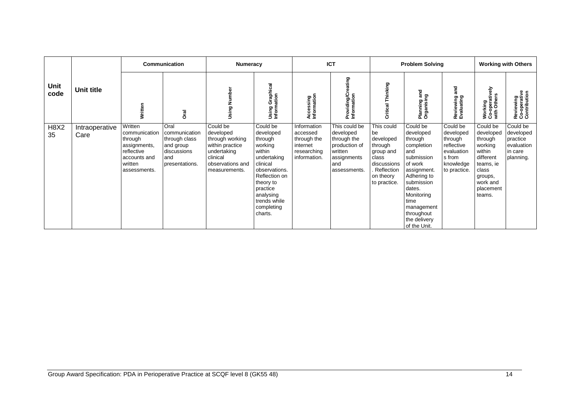|                   |                        | Communication                                                                                                |                                                                                             | Numeracy                                                                                                                    |                                                                                                                                                                                                   | <b>ICT</b>                                                                        |                                                                                                             | <b>Problem Solving</b>                                                                                                   |                                                                                                                                                                                                                        |                                                                                                     | <b>Working with Others</b>                                                                                                             |                                                                         |
|-------------------|------------------------|--------------------------------------------------------------------------------------------------------------|---------------------------------------------------------------------------------------------|-----------------------------------------------------------------------------------------------------------------------------|---------------------------------------------------------------------------------------------------------------------------------------------------------------------------------------------------|-----------------------------------------------------------------------------------|-------------------------------------------------------------------------------------------------------------|--------------------------------------------------------------------------------------------------------------------------|------------------------------------------------------------------------------------------------------------------------------------------------------------------------------------------------------------------------|-----------------------------------------------------------------------------------------------------|----------------------------------------------------------------------------------------------------------------------------------------|-------------------------------------------------------------------------|
| Unit<br>code      | <b>Unit title</b>      | Written                                                                                                      | <b>Drai</b>                                                                                 | Using Number                                                                                                                | Using Graphical<br>Information                                                                                                                                                                    | Accessing<br>Information                                                          | Providing/Creating<br>Information                                                                           | Thinking<br>Critical                                                                                                     | gue<br>guis<br>Planning<br>Organisin                                                                                                                                                                                   | and<br>Reviewing<br>Evaluating                                                                      | <b>Working</b><br>Co-operatively<br>with Others                                                                                        | Reviewing<br>Co-operative<br>Contribution                               |
| <b>H8X2</b><br>35 | Intraoperative<br>Care | Written<br>communication<br>through<br>assignments,<br>reflective<br>accounts and<br>written<br>assessments. | Oral<br>communication<br>through class<br>and group<br>discussions<br>and<br>presentations. | Could be<br>developed<br>through working<br>within practice<br>undertaking<br>clinical<br>observations and<br>measurements. | Could be<br>developed<br>through<br>working<br>within<br>undertaking<br>clinical<br>observations.<br>Reflection on<br>theory to<br>practice<br>analysing<br>trends while<br>completing<br>charts. | Information<br>accessed<br>through the<br>internet<br>researching<br>information. | This could be<br>developed<br>through the<br>production of<br>written<br>assignments<br>and<br>assessments. | This could<br>be<br>developed<br>through<br>group and<br>class<br>discussions<br>Reflection<br>on theory<br>to practice. | Could be<br>developed<br>through<br>completion<br>and<br>submission<br>of work<br>assignment.<br>Adhering to<br>submission<br>dates.<br>Monitoring<br>time<br>management<br>throughout<br>the delivery<br>of the Unit. | Could be<br>developed<br>through<br>reflective<br>evaluation<br>s from<br>knowledge<br>to practice. | Could be<br>developed<br>through<br>working<br>within<br>different<br>teams, ie<br>class<br>groups,<br>work and<br>placement<br>teams. | Could be<br>developed<br>practice<br>evaluation<br>in care<br>planning. |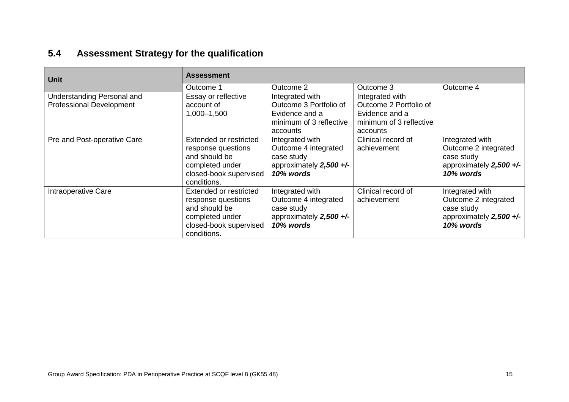# **5.4 Assessment Strategy for the qualification**

<span id="page-16-0"></span>

| <b>Unit</b>                                                   | <b>Assessment</b>                                                                                                         |                                                                                                    |                                                                                                    |                                                                                                 |  |  |  |  |
|---------------------------------------------------------------|---------------------------------------------------------------------------------------------------------------------------|----------------------------------------------------------------------------------------------------|----------------------------------------------------------------------------------------------------|-------------------------------------------------------------------------------------------------|--|--|--|--|
|                                                               | Outcome 1                                                                                                                 | Outcome 2                                                                                          | Outcome 3                                                                                          | Outcome 4                                                                                       |  |  |  |  |
| Understanding Personal and<br><b>Professional Development</b> | Essay or reflective<br>account of<br>1,000-1,500                                                                          | Integrated with<br>Outcome 3 Portfolio of<br>Evidence and a<br>minimum of 3 reflective<br>accounts | Integrated with<br>Outcome 2 Portfolio of<br>Evidence and a<br>minimum of 3 reflective<br>accounts |                                                                                                 |  |  |  |  |
| Pre and Post-operative Care                                   | Extended or restricted<br>response questions<br>and should be<br>completed under<br>closed-book supervised<br>conditions. | Integrated with<br>Outcome 4 integrated<br>case study<br>approximately 2,500 +/-<br>10% words      | Clinical record of<br>achievement                                                                  | Integrated with<br>Outcome 2 integrated<br>case study<br>approximately $2,500 +/-$<br>10% words |  |  |  |  |
| Intraoperative Care                                           | Extended or restricted<br>response questions<br>and should be<br>completed under<br>closed-book supervised<br>conditions. | Integrated with<br>Outcome 4 integrated<br>case study<br>approximately 2,500 +/-<br>10% words      | Clinical record of<br>achievement                                                                  | Integrated with<br>Outcome 2 integrated<br>case study<br>approximately 2,500 +/-<br>10% words   |  |  |  |  |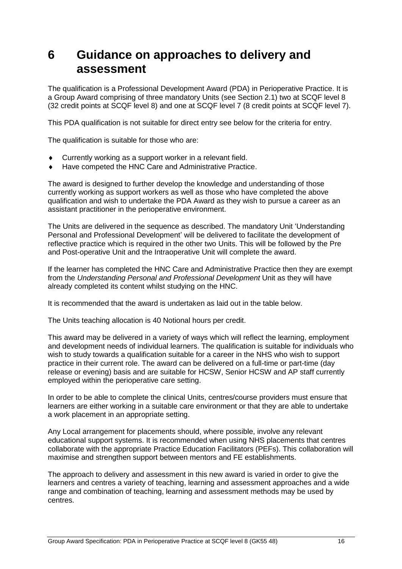# <span id="page-17-0"></span>**6 Guidance on approaches to delivery and assessment**

The qualification is a Professional Development Award (PDA) in Perioperative Practice. It is a Group Award comprising of three mandatory Units (see Section 2.1) two at SCQF level 8 (32 credit points at SCQF level 8) and one at SCQF level 7 (8 credit points at SCQF level 7).

This PDA qualification is not suitable for direct entry see below for the criteria for entry.

The qualification is suitable for those who are:

- Currently working as a support worker in a relevant field.
- Have competed the HNC Care and Administrative Practice.

The award is designed to further develop the knowledge and understanding of those currently working as support workers as well as those who have completed the above qualification and wish to undertake the PDA Award as they wish to pursue a career as an assistant practitioner in the perioperative environment.

The Units are delivered in the sequence as described. The mandatory Unit 'Understanding Personal and Professional Development' will be delivered to facilitate the development of reflective practice which is required in the other two Units. This will be followed by the Pre and Post-operative Unit and the Intraoperative Unit will complete the award.

If the learner has completed the HNC Care and Administrative Practice then they are exempt from the *Understanding Personal and Professional Development* Unit as they will have already completed its content whilst studying on the HNC.

It is recommended that the award is undertaken as laid out in the table below.

The Units teaching allocation is 40 Notional hours per credit.

This award may be delivered in a variety of ways which will reflect the learning, employment and development needs of individual learners. The qualification is suitable for individuals who wish to study towards a qualification suitable for a career in the NHS who wish to support practice in their current role. The award can be delivered on a full-time or part-time (day release or evening) basis and are suitable for HCSW, Senior HCSW and AP staff currently employed within the perioperative care setting.

In order to be able to complete the clinical Units, centres/course providers must ensure that learners are either working in a suitable care environment or that they are able to undertake a work placement in an appropriate setting.

Any Local arrangement for placements should, where possible, involve any relevant educational support systems. It is recommended when using NHS placements that centres collaborate with the appropriate Practice Education Facilitators (PEFs). This collaboration will maximise and strengthen support between mentors and FE establishments.

The approach to delivery and assessment in this new award is varied in order to give the learners and centres a variety of teaching, learning and assessment approaches and a wide range and combination of teaching, learning and assessment methods may be used by centres.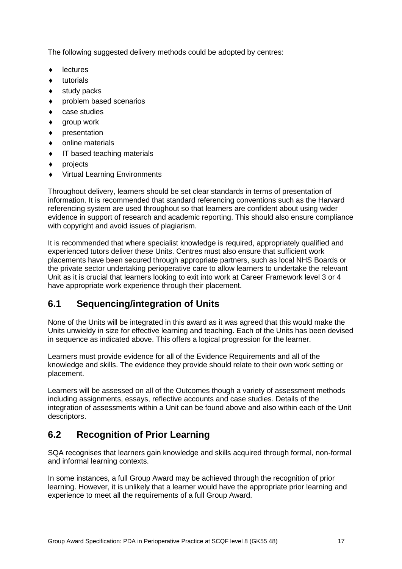The following suggested delivery methods could be adopted by centres:

- lectures
- $\bullet$  tutorials
- study packs
- problem based scenarios
- case studies
- group work
- $\bullet$  presentation
- online materials
- IT based teaching materials
- $\bullet$  projects
- Virtual Learning Environments

Throughout delivery, learners should be set clear standards in terms of presentation of information. It is recommended that standard referencing conventions such as the Harvard referencing system are used throughout so that learners are confident about using wider evidence in support of research and academic reporting. This should also ensure compliance with copyright and avoid issues of plagiarism.

It is recommended that where specialist knowledge is required, appropriately qualified and experienced tutors deliver these Units. Centres must also ensure that sufficient work placements have been secured through appropriate partners, such as local NHS Boards or the private sector undertaking perioperative care to allow learners to undertake the relevant Unit as it is crucial that learners looking to exit into work at Career Framework level 3 or 4 have appropriate work experience through their placement.

## <span id="page-18-0"></span>**6.1 Sequencing/integration of Units**

None of the Units will be integrated in this award as it was agreed that this would make the Units unwieldy in size for effective learning and teaching. Each of the Units has been devised in sequence as indicated above. This offers a logical progression for the learner.

Learners must provide evidence for all of the Evidence Requirements and all of the knowledge and skills. The evidence they provide should relate to their own work setting or placement.

Learners will be assessed on all of the Outcomes though a variety of assessment methods including assignments, essays, reflective accounts and case studies. Details of the integration of assessments within a Unit can be found above and also within each of the Unit descriptors.

# <span id="page-18-1"></span>**6.2 Recognition of Prior Learning**

SQA recognises that learners gain knowledge and skills acquired through formal, non-formal and informal learning contexts.

In some instances, a full Group Award may be achieved through the recognition of prior learning. However, it is unlikely that a learner would have the appropriate prior learning and experience to meet all the requirements of a full Group Award.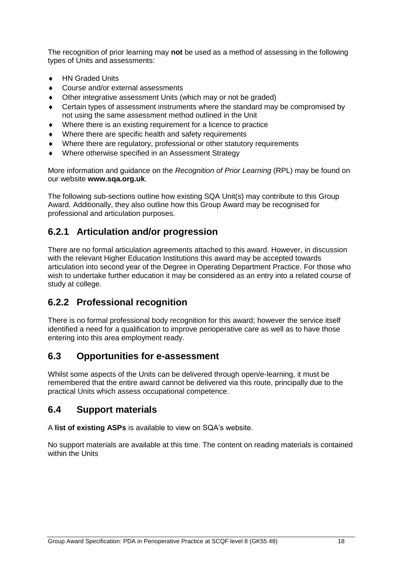The recognition of prior learning may **not** be used as a method of assessing in the following types of Units and assessments:

- ◆ HN Graded Units
- ◆ Course and/or external assessments
- Other integrative assessment Units (which may or not be graded)
- Certain types of assessment instruments where the standard may be compromised by not using the same assessment method outlined in the Unit
- Where there is an existing requirement for a licence to practice
- Where there are specific health and safety requirements
- Where there are regulatory, professional or other statutory requirements
- Where otherwise specified in an Assessment Strategy

More information and guidance on the *Recognition of Prior Learning* (RPL) may be found on our website **[www.sqa.org.uk](http://www.sqa.org.uk/)**.

The following sub-sections outline how existing SQA Unit(s) may contribute to this Group Award. Additionally, they also outline how this Group Award may be recognised for professional and articulation purposes.

## **6.2.1 Articulation and/or progression**

There are no formal articulation agreements attached to this award. However, in discussion with the relevant Higher Education Institutions this award may be accepted towards articulation into second year of the Degree in Operating Department Practice. For those who wish to undertake further education it may be considered as an entry into a related course of study at college.

## **6.2.2 Professional recognition**

There is no formal professional body recognition for this award; however the service itself identified a need for a qualification to improve perioperative care as well as to have those entering into this area employment ready.

### <span id="page-19-0"></span>**6.3 Opportunities for e-assessment**

Whilst some aspects of the Units can be delivered through open/e-learning, it must be remembered that the entire award cannot be delivered via this route, principally due to the practical Units which assess occupational competence.

### <span id="page-19-1"></span>**6.4 Support materials**

A **[list of existing ASPs](http://www.sqa.org.uk/sqa/46233.2769.html)** is available to view on SQA's website.

No support materials are available at this time. The content on reading materials is contained within the Units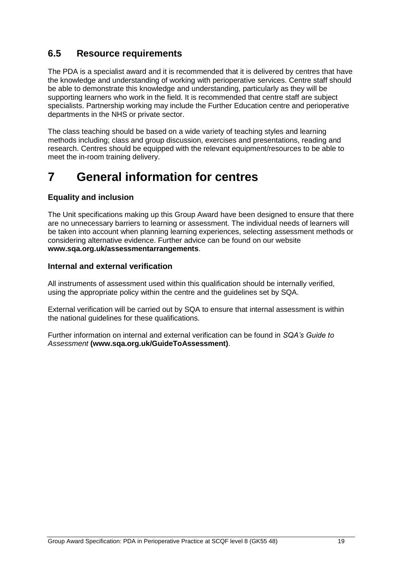## <span id="page-20-0"></span>**6.5 Resource requirements**

The PDA is a specialist award and it is recommended that it is delivered by centres that have the knowledge and understanding of working with perioperative services. Centre staff should be able to demonstrate this knowledge and understanding, particularly as they will be supporting learners who work in the field. It is recommended that centre staff are subject specialists. Partnership working may include the Further Education centre and perioperative departments in the NHS or private sector.

The class teaching should be based on a wide variety of teaching styles and learning methods including; class and group discussion, exercises and presentations, reading and research. Centres should be equipped with the relevant equipment/resources to be able to meet the in-room training delivery.

# <span id="page-20-1"></span>**7 General information for centres**

#### **Equality and inclusion**

The Unit specifications making up this Group Award have been designed to ensure that there are no unnecessary barriers to learning or assessment. The individual needs of learners will be taken into account when planning learning experiences, selecting assessment methods or considering alternative evidence. Further advice can be found on our website **[www.sqa.org.uk/assessmentarrangements](http://www.sqa.org.uk/sqa/14977.html)**.

#### **Internal and external verification**

All instruments of assessment used within this qualification should be internally verified, using the appropriate policy within the centre and the guidelines set by SQA.

External verification will be carried out by SQA to ensure that internal assessment is within the national guidelines for these qualifications.

Further information on internal and external verification can be found in *SQA's Guide to Assessment* **[\(www.sqa.org.uk/GuideToAssessment\)](http://www.sqa.org.uk/sqa/files_ccc/GuideToAssessment.pdf)**.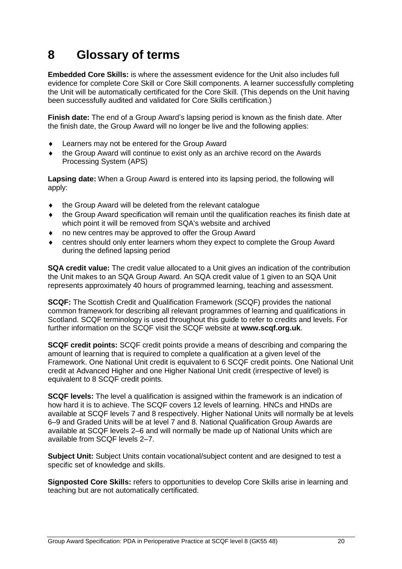# <span id="page-21-0"></span>**8 Glossary of terms**

**Embedded Core Skills:** is where the assessment evidence for the Unit also includes full evidence for complete Core Skill or Core Skill components. A learner successfully completing the Unit will be automatically certificated for the Core Skill. (This depends on the Unit having been successfully audited and validated for Core Skills certification.)

**Finish date:** The end of a Group Award's lapsing period is known as the finish date. After the finish date, the Group Award will no longer be live and the following applies:

- Learners may not be entered for the Group Award
- the Group Award will continue to exist only as an archive record on the Awards Processing System (APS)

**Lapsing date:** When a Group Award is entered into its lapsing period, the following will apply:

- the Group Award will be deleted from the relevant catalogue
- the Group Award specification will remain until the qualification reaches its finish date at which point it will be removed from SQA's website and archived
- no new centres may be approved to offer the Group Award
- centres should only enter learners whom they expect to complete the Group Award during the defined lapsing period

**SQA credit value:** The credit value allocated to a Unit gives an indication of the contribution the Unit makes to an SQA Group Award. An SQA credit value of 1 given to an SQA Unit represents approximately 40 hours of programmed learning, teaching and assessment.

**SCQF:** The Scottish Credit and Qualification Framework (SCQF) provides the national common framework for describing all relevant programmes of learning and qualifications in Scotland. SCQF terminology is used throughout this guide to refer to credits and levels. For further information on the SCQF visit the SCQF website at **[www.scqf.org.uk](http://www.scqf.org.uk/)**.

**SCQF credit points:** SCQF credit points provide a means of describing and comparing the amount of learning that is required to complete a qualification at a given level of the Framework. One National Unit credit is equivalent to 6 SCQF credit points. One National Unit credit at Advanced Higher and one Higher National Unit credit (irrespective of level) is equivalent to 8 SCQF credit points.

**SCQF levels:** The level a qualification is assigned within the framework is an indication of how hard it is to achieve. The SCQF covers 12 levels of learning. HNCs and HNDs are available at SCQF levels 7 and 8 respectively. Higher National Units will normally be at levels 6–9 and Graded Units will be at level 7 and 8. National Qualification Group Awards are available at SCQF levels 2–6 and will normally be made up of National Units which are available from SCQF levels 2–7.

**Subject Unit:** Subject Units contain vocational/subject content and are designed to test a specific set of knowledge and skills.

**Signposted Core Skills:** refers to opportunities to develop Core Skills arise in learning and teaching but are not automatically certificated.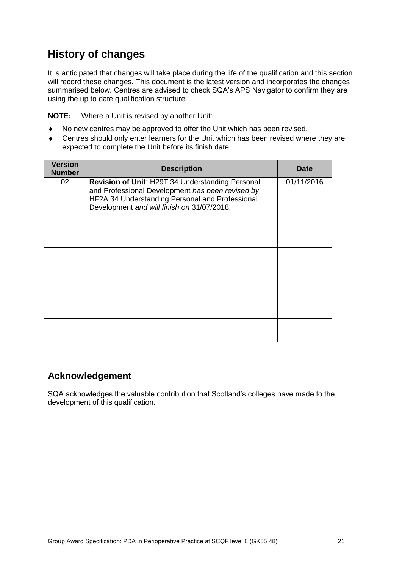# **History of changes**

It is anticipated that changes will take place during the life of the qualification and this section will record these changes. This document is the latest version and incorporates the changes summarised below. Centres are advised to check SQA's APS Navigator to confirm they are using the up to date qualification structure.

**NOTE:** Where a Unit is revised by another Unit:

- No new centres may be approved to offer the Unit which has been revised.
- Centres should only enter learners for the Unit which has been revised where they are expected to complete the Unit before its finish date.

| <b>Version</b><br><b>Number</b> | <b>Description</b>                                                                                                                                                                                    | <b>Date</b> |
|---------------------------------|-------------------------------------------------------------------------------------------------------------------------------------------------------------------------------------------------------|-------------|
| 02                              | Revision of Unit: H29T 34 Understanding Personal<br>and Professional Development has been revised by<br>HF2A 34 Understanding Personal and Professional<br>Development and will finish on 31/07/2018. | 01/11/2016  |
|                                 |                                                                                                                                                                                                       |             |
|                                 |                                                                                                                                                                                                       |             |
|                                 |                                                                                                                                                                                                       |             |
|                                 |                                                                                                                                                                                                       |             |
|                                 |                                                                                                                                                                                                       |             |
|                                 |                                                                                                                                                                                                       |             |
|                                 |                                                                                                                                                                                                       |             |
|                                 |                                                                                                                                                                                                       |             |
|                                 |                                                                                                                                                                                                       |             |
|                                 |                                                                                                                                                                                                       |             |
|                                 |                                                                                                                                                                                                       |             |

### **Acknowledgement**

SQA acknowledges the valuable contribution that Scotland's colleges have made to the development of this qualification.